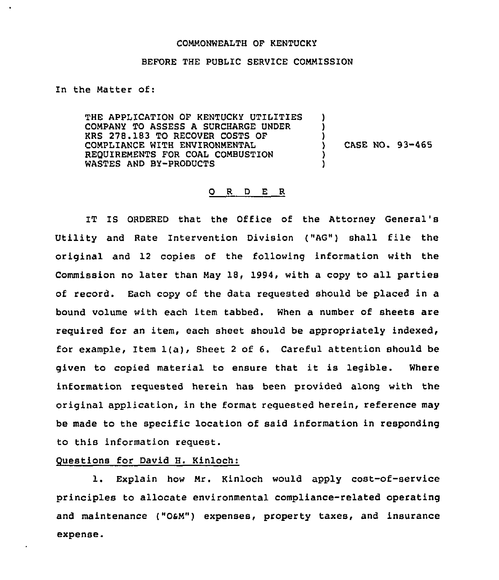#### COMMONWEALTH OF KENTUCKY

### BEFORE THE PUBLIC SERVICE COMMISSION

In the Matter of:

THE APPLICATION OF KENTUCKY UTILITIES COMPANY TO ASSESS A SURCHARGE UNDER KRS 278.183 TO RECOVER COSTS OF COMPLIANCE WITH ENVIRONMENTAL REQUIREMENTS FOR COAL COMBUSTION WASTES AND BY-PRODUCTS ) ) ) ) CASE NO. 93-465 ) )

## 0 <sup>R</sup> <sup>D</sup> E R

IT IS ORDERED that the Office of the Attorney General's Utility and Rate Intervention Division ("AG") shall file the original and 12 copies of the following information with the Commission no later than May 18, 1994, with a copy to all parties of record. Each copy of the data requested should be placed in a bound volume with each item tabbed. When a number of sheets are required for an item, each sheet should be appropriately indexed, for example, item 1(a), Sheet <sup>2</sup> of 6. Careful attention should be given to copied material to ensure that it is legible. Where information requested herein has been provided along with the original application, in the format requested herein, reference may be made to the specific location of said information in responding to this information request.

## Questions for David H. Kinloch:

l. Explain how Mr. Kinloch would apply cost-of-service principles to allocate environmental compliance-related operating and maintenance ("OsM") expenses, property taxes, and insurance expense.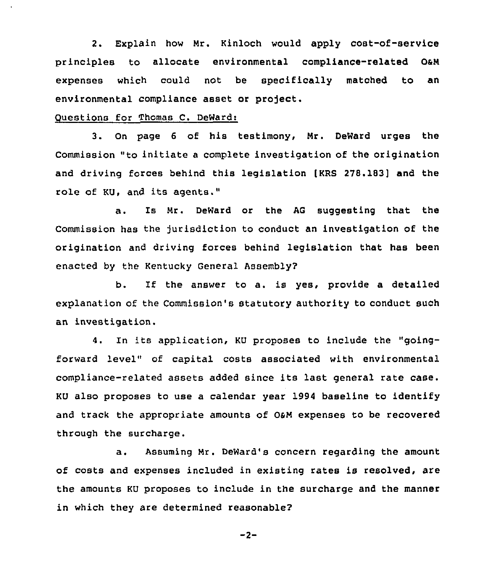2. Explain how Mr. Kinloch would apply cost-of-service principles to allocate environmental compliance-related OaN expenses which could not be specifically matched to an environmental compliance asset or project.

# Questions for Thomas C. DeWard:

3. On page <sup>6</sup> of his testimony, Nr. DeWard urges the Commission "to initiate <sup>a</sup> complete investigation of the origination and driving forces behind this legislation (KRS 278.183] and the role of KU, and its agents."

a. Is Nr. DeWard or the AG suggesting that the Commission has the jurisdiction to conduct an investigation of the origination and driving forces behind legislation that has been enacted by the Kentucky General Assembly?

b. If the answer to a. is yes, provide <sup>a</sup> detailed explanation of the Commission's statutory authority to conduct such an investigation.

4. In its application, KU proposes to include the "goingforward level" of capital costs associated with environmertal compliance-related assets added since its last general rate case. KU also proposes to use a calendar year 1994 baseline to identify and track the appropriate amounts of O&M expenses to be recovered through the surcharge.

a. Assuming Nr. DeWard's concern regarding the amount of costs and expenses included in existing rates is resolved, are the amounts KU proposes to include in the surcharge and the manner in which they are determined reasonable?

$$
-2
$$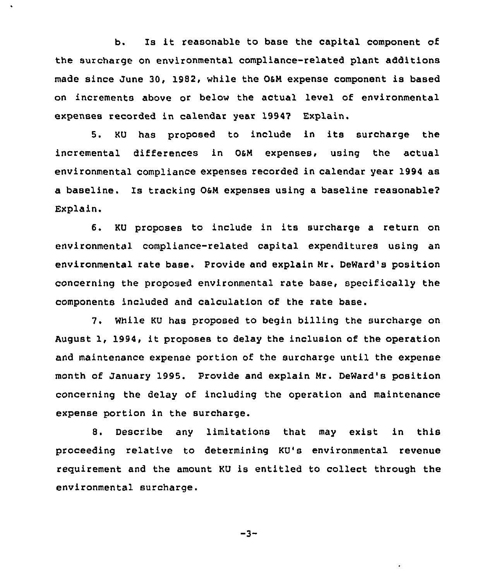b. Is it reasonable to base the capital component of the surcharge on environmental compliance-related plant additions made since June 30, 1992, while the OaM expense component is based on increments above or below the actual level of environmental expenses recorded in calendar year 19947 Explain.

5. KU has proposed to include in its surcharge the incremental differences in OsM expenses, using the actual environmental compliance expenses recorded in calendar year 1994 as a baseline. Is tracking OsM expenses using a baseline reasonable2 Explain.

6, KU proposes to include in its surcharge a return on environmental compliance-related capital expenditures using an environmental rate base. Provide and explain Mr. DeWard's position concerning the proposed environmental rate base, specifically the components included and calculation of the rate base.

7. While KU has proposed to begin billing the surcharge on August 1, 1994, it proposes to delay the inclusion of the operation and maintenance expense portion of the surcharge until the expense month of January 1995. Provide and explain Mr. DeWard's position concerning the delay of including the operation and maintenance expense portion in the surcharge.

8. Describe any limitations that may exist in this proceeding relative to determining KU's environmental revenue requirement and the amount KU is entitled to collect through the environmental surcharge.

$$
-3 -
$$